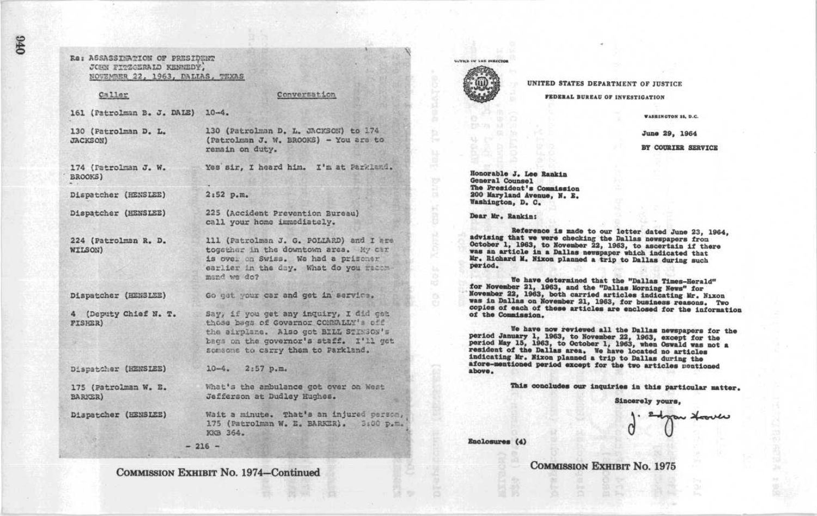| Caller                                  | Conversation                                                                                                                                                                                            |
|-----------------------------------------|---------------------------------------------------------------------------------------------------------------------------------------------------------------------------------------------------------|
| 161 (Patrolman B. J. DAIE) 10-4.        |                                                                                                                                                                                                         |
| 130 (Patrolman D. L.<br><b>JACKSON)</b> | 130 (Patrolman D. L. JACKSON) to 174<br>(Patrolman J. W. BROOKS) - You are to<br>remain on duty.                                                                                                        |
| 174 (Patrolman J. W.<br>BROOKS)         | Yes sir, I heard him. I'm at Parkland                                                                                                                                                                   |
| Dispatcher (HENSLEE)                    | 2:52 p.m.                                                                                                                                                                                               |
| Dispatcher (HENSLEE)                    | 225 (Accident Prevention Bureau)<br>call your home immediately.                                                                                                                                         |
| 224 (Patrolman R. D.<br>WILSON)         | 111 (Patrolman J. G. POLLARD) and I ar<br>together in the downtown area. My car<br>is over on Swiss. We had a prisoner<br>earlier in the day. What do you measu<br>mand we do?                          |
| Dispatcher (HENSLEE)                    | Go get your car and get in service.                                                                                                                                                                     |
| 4 (Deputy Chief N. T.<br>FISHER)        | Say, if you get any inquiry, I did get<br>those bags of Governor CONNALLY's off<br>the airplane. Also got BILL STINGON's<br>bags on the governor's staff. I'll go<br>someone to carry them to Parkland. |
| Dispatcher (HENSLEE)                    | $10-4.$ $2:57$ p.m.                                                                                                                                                                                     |
| 175 (Patrolman W. E.<br><b>BARKER</b> ) | What's the ambulance got over on West<br>Jefferson at Dudley Hughes.                                                                                                                                    |
| Dispatcher (HENSLEE)                    | Wait a minute. That's an injured pers<br>175 (Patrolman W. E. BARKER). 3:00 p<br>KKB 364.                                                                                                               |

076

COMMISSION EXHIBIT No. 1974-Continued



UNITED STATES DEPARTMENT OF JUSTICE

**FEDERAL BUREAU OF INVESTIGATION** 

**VASHINGTON 25, D.C.** 

June 29, 1964

BY COURIER SERVICE

Honorable J. Lee Rankin General Counsel The President's Commission 200 Maryland Avenue, N. E. Washington, D. C.

Dear Mr. Rankin:

Reference is made to our letter dated June 23, 1964, advising that we were checking the Dallas newspapers from October 1, 1963, to November 22, 1963, to ascertain if there was an article in a Dallas newspaper which indicated that Mr. Richard M. Nixon planned a trip to Dallas during such period.

We have determined that the "Dallas Times-Herald" for November 21, 1963, and the "Dallas Morning News" for Movember 22, 1963, both carried articles indicating Mr. Nixon was in Dallas on November 21, 1963, for business reasons. Two copies of each of these articles are enclosed for the information of the Commission.

We have now reviewed all the Dallas newspapers for the period January 1, 1963, to November 22, 1963, except for the period May 15, 1963, to October 1, 1963, the Oswald was not a resident of the David Wasser 1, 1963, when Oswald was not a indicating Mr. Mixon planned a trip to Dallas during the afore-mentioned period except for the two articles mentioned above.

This concludes our inquiries in this particular matter.

Sincerely yours,

n <del>Hoo</del>ver

Enclosures (4)

m.

**COMMISSION EXHIBIT No. 1975**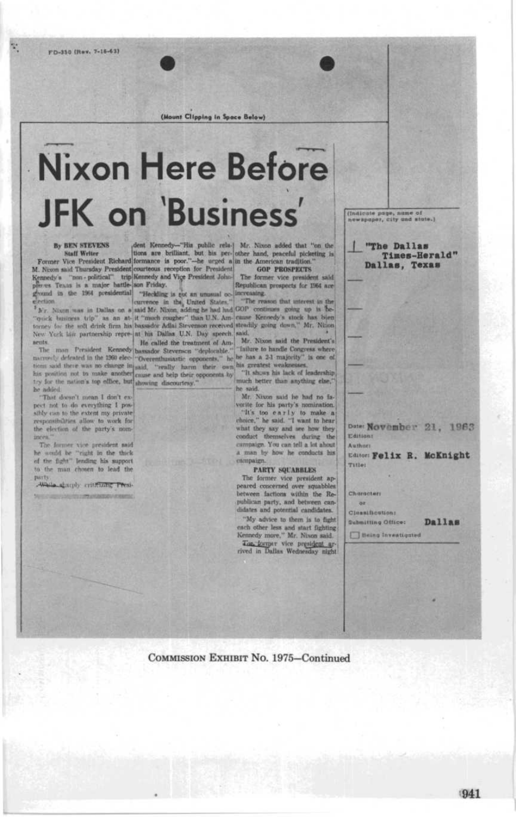X.

(Mount Clipping in Space Below)

# **Nixon Here Before JFK** on 'Business'

By BEN STEVENS (font Kennedy--"His public rela-) Mr. Nixon added that "on the Natif Writer tions are brilliant, but his per- other hand, peaceful picketing is N. Nixon said Thursday President Guernance is poor."-he urged givend in the 1964 presidential "Heckling is gix an unusual occlinereasing.

New York his partnership repre- at his Dallas U.N. Day speech said. sents

narrowly defeated in the 1960 elec- "Overenthusiastic opponents," he he has a 2-1 majority" is one of them said there was no change in and the weather one has greatest weaknesses,<br>his position not to make another cause and belp their opponents by<br>the show his lack of leadership and the position of the same in the same his try for the nation's top effice, but showing discourtesy." be added.

"That doesn't mean I don't expect not to do everything I possibly can to the extent my private responsibilities allow to work for<br>the election of the party's nominces

The Jarmer vice president said he would be "right in the thick of the fight" lending his support to the man chosen to lead the party

Walla abscoly criticizing Presi-

election and curvence in the United States." The reason that unterest in the  $^2$  N r. Nixon was in Dallas on a said Mr. Nixon adding be had had COP continues going up is be-"quick business trip" as an at-it "much rougher" than U.N. Am- cause Kennedy's stock has blen torney for the soft drink firm his bassador Adlai Stevenson received steadily going down," Mr. Ninon

ruts. The man Persident Kennedy bassador Stevensen "deplorable." Mr. Nixon said the President's Arrow Contained the Bread and the text of the bassador Stevensen "deplorable." Tailure to handle Congress where

"It shows his lack of leadership the said.

Mr. Nixon said he had no favorite for his party's nomination. "It's too early to make a what they say and see how they conduct themselves during the campaign. You can tell a lot about a man by how he conducts his campaig

#### PARTY SQUABBLES

The former vice president appeared concerned over squabbles between factions within the Republican party, and between candidates and potential candidates.

"My advice to them is to fight each other less and start fighting<br>Kennedy more," Mr. Nixon said. The former vice president ar(Indicate page, name of

"The Dallas Times-Herald" Dallas, Texas

Date: November 21, 1963 Editions Authors

Editor: Felix R. McKnight Title:

Characters or

**Cleanification:** 

Dallas **Qubmitting Office:** 

**Being Investigated** 

COMMISSION EXHIBIT No. 1975-Continued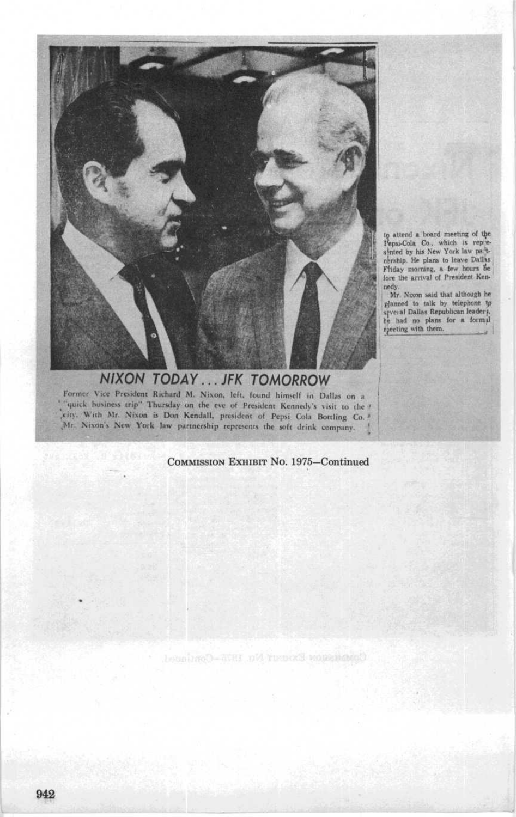

to attend a board meeting of the<br>shited by his New York Iav part-<br>abriship. He plans to leave Dallas<br>privally morning, a few hours be<br>Ffiday morning, a few hours be fore the arrival of President Ken-

nedy.<br>Mr. Nixon said that although he Mr. Nixon said that although he<br>planned to talk by telephone to<br>syreral Dallas Republican leaderf,<br>he had no plans for a formil<br>reeding with them.

### NIXON TODAY ... JFK TOMORROW Former Vice President Richard M. Nixon, left, found himself in Dallas on a quick business trip - lhursday on the cvc of President Kennedy's visit to the city. With Mr. Nixon is Don Kendall, president of Pepsi Cola Bottling Co. Mr. Nixon's New York law partnership represents the soft drink company.

### COMMISSION EXHIBIT No. 1975-Continued

Cominant Expert No. 1975-Continued.